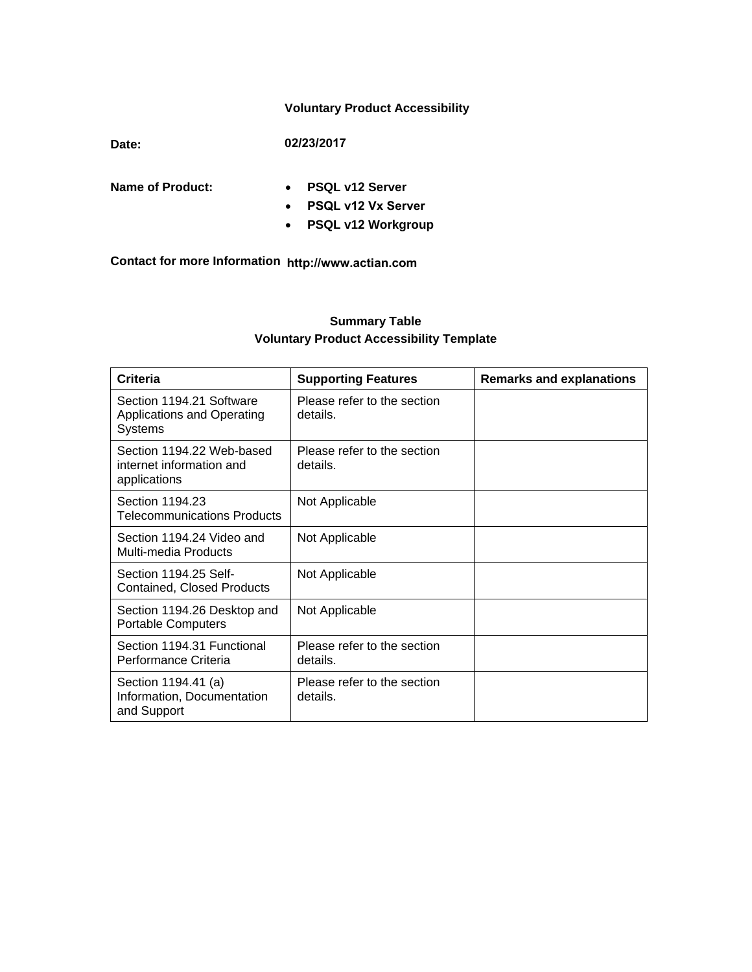### **Voluntary Product Accessibility**

**Date: 02/23/2017**

- **Name of Product: PSQL v12 Server**
	- **PSQL v12 Vx Server**
	- **PSQL v12 Workgroup**

**Contact for more Information http://www.actian.com**

## **Summary Table Voluntary Product Accessibility Template**

| <b>Criteria</b>                                                       | <b>Supporting Features</b>              | <b>Remarks and explanations</b> |
|-----------------------------------------------------------------------|-----------------------------------------|---------------------------------|
| Section 1194.21 Software<br>Applications and Operating<br>Systems     | Please refer to the section<br>details. |                                 |
| Section 1194.22 Web-based<br>internet information and<br>applications | Please refer to the section<br>details. |                                 |
| Section 1194.23<br><b>Telecommunications Products</b>                 | Not Applicable                          |                                 |
| Section 1194.24 Video and<br>Multi-media Products                     | Not Applicable                          |                                 |
| Section 1194.25 Self-<br><b>Contained, Closed Products</b>            | Not Applicable                          |                                 |
| Section 1194.26 Desktop and<br><b>Portable Computers</b>              | Not Applicable                          |                                 |
| Section 1194.31 Functional<br>Performance Criteria                    | Please refer to the section<br>details. |                                 |
| Section 1194.41 (a)<br>Information, Documentation<br>and Support      | Please refer to the section<br>details. |                                 |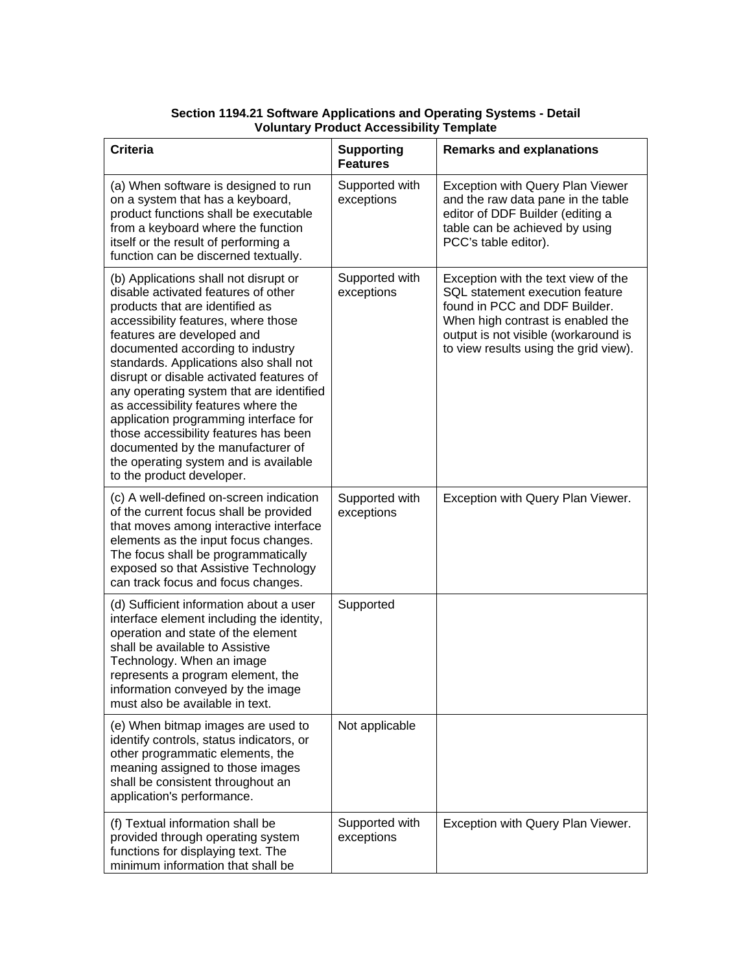### **Section 1194.21 Software Applications and Operating Systems - Detail Voluntary Product Accessibility Template**

| <b>Criteria</b>                                                                                                                                                                                                                                                                                                                                                                                                                                                                                                                                                                                | <b>Supporting</b><br><b>Features</b> | <b>Remarks and explanations</b>                                                                                                                                                                                               |
|------------------------------------------------------------------------------------------------------------------------------------------------------------------------------------------------------------------------------------------------------------------------------------------------------------------------------------------------------------------------------------------------------------------------------------------------------------------------------------------------------------------------------------------------------------------------------------------------|--------------------------------------|-------------------------------------------------------------------------------------------------------------------------------------------------------------------------------------------------------------------------------|
| (a) When software is designed to run<br>on a system that has a keyboard,<br>product functions shall be executable<br>from a keyboard where the function<br>itself or the result of performing a<br>function can be discerned textually.                                                                                                                                                                                                                                                                                                                                                        | Supported with<br>exceptions         | Exception with Query Plan Viewer<br>and the raw data pane in the table<br>editor of DDF Builder (editing a<br>table can be achieved by using<br>PCC's table editor).                                                          |
| (b) Applications shall not disrupt or<br>disable activated features of other<br>products that are identified as<br>accessibility features, where those<br>features are developed and<br>documented according to industry<br>standards. Applications also shall not<br>disrupt or disable activated features of<br>any operating system that are identified<br>as accessibility features where the<br>application programming interface for<br>those accessibility features has been<br>documented by the manufacturer of<br>the operating system and is available<br>to the product developer. | Supported with<br>exceptions         | Exception with the text view of the<br>SQL statement execution feature<br>found in PCC and DDF Builder.<br>When high contrast is enabled the<br>output is not visible (workaround is<br>to view results using the grid view). |
| (c) A well-defined on-screen indication<br>of the current focus shall be provided<br>that moves among interactive interface<br>elements as the input focus changes.<br>The focus shall be programmatically<br>exposed so that Assistive Technology<br>can track focus and focus changes.                                                                                                                                                                                                                                                                                                       | Supported with<br>exceptions         | Exception with Query Plan Viewer.                                                                                                                                                                                             |
| (d) Sufficient information about a user<br>interface element including the identity,<br>operation and state of the element<br>shall be available to Assistive<br>Technology. When an image<br>represents a program element, the<br>information conveyed by the image<br>must also be available in text.                                                                                                                                                                                                                                                                                        | Supported                            |                                                                                                                                                                                                                               |
| (e) When bitmap images are used to<br>identify controls, status indicators, or<br>other programmatic elements, the<br>meaning assigned to those images<br>shall be consistent throughout an<br>application's performance.                                                                                                                                                                                                                                                                                                                                                                      | Not applicable                       |                                                                                                                                                                                                                               |
| (f) Textual information shall be<br>provided through operating system<br>functions for displaying text. The<br>minimum information that shall be                                                                                                                                                                                                                                                                                                                                                                                                                                               | Supported with<br>exceptions         | Exception with Query Plan Viewer.                                                                                                                                                                                             |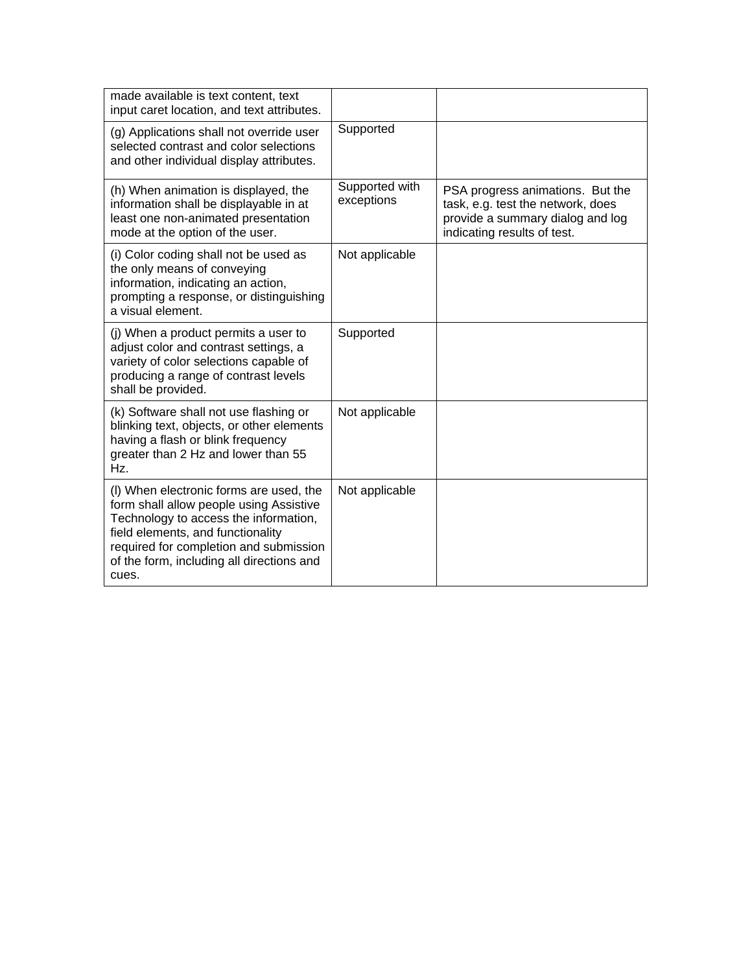| made available is text content, text<br>input caret location, and text attributes.                                                                                                                                                                               |                              |                                                                                                                                          |
|------------------------------------------------------------------------------------------------------------------------------------------------------------------------------------------------------------------------------------------------------------------|------------------------------|------------------------------------------------------------------------------------------------------------------------------------------|
| (g) Applications shall not override user<br>selected contrast and color selections<br>and other individual display attributes.                                                                                                                                   | Supported                    |                                                                                                                                          |
| (h) When animation is displayed, the<br>information shall be displayable in at<br>least one non-animated presentation<br>mode at the option of the user.                                                                                                         | Supported with<br>exceptions | PSA progress animations. But the<br>task, e.g. test the network, does<br>provide a summary dialog and log<br>indicating results of test. |
| (i) Color coding shall not be used as<br>the only means of conveying<br>information, indicating an action,<br>prompting a response, or distinguishing<br>a visual element.                                                                                       | Not applicable               |                                                                                                                                          |
| (j) When a product permits a user to<br>adjust color and contrast settings, a<br>variety of color selections capable of<br>producing a range of contrast levels<br>shall be provided.                                                                            | Supported                    |                                                                                                                                          |
| (k) Software shall not use flashing or<br>blinking text, objects, or other elements<br>having a flash or blink frequency<br>greater than 2 Hz and lower than 55<br>Hz.                                                                                           | Not applicable               |                                                                                                                                          |
| (I) When electronic forms are used, the<br>form shall allow people using Assistive<br>Technology to access the information,<br>field elements, and functionality<br>required for completion and submission<br>of the form, including all directions and<br>cues. | Not applicable               |                                                                                                                                          |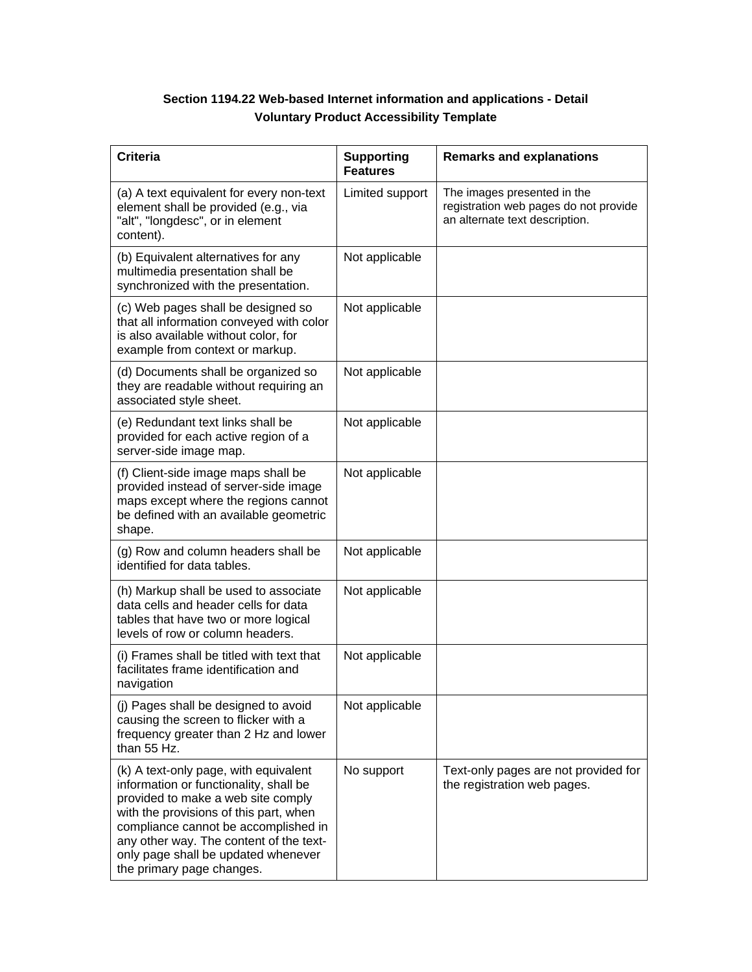# **Section 1194.22 Web-based Internet information and applications - Detail Voluntary Product Accessibility Template**

| <b>Criteria</b>                                                                                                                                                                                                                                                                                                        | <b>Supporting</b><br><b>Features</b> | <b>Remarks and explanations</b>                                                                        |
|------------------------------------------------------------------------------------------------------------------------------------------------------------------------------------------------------------------------------------------------------------------------------------------------------------------------|--------------------------------------|--------------------------------------------------------------------------------------------------------|
| (a) A text equivalent for every non-text<br>element shall be provided (e.g., via<br>"alt", "longdesc", or in element<br>content).                                                                                                                                                                                      | Limited support                      | The images presented in the<br>registration web pages do not provide<br>an alternate text description. |
| (b) Equivalent alternatives for any<br>multimedia presentation shall be<br>synchronized with the presentation.                                                                                                                                                                                                         | Not applicable                       |                                                                                                        |
| (c) Web pages shall be designed so<br>that all information conveyed with color<br>is also available without color, for<br>example from context or markup.                                                                                                                                                              | Not applicable                       |                                                                                                        |
| (d) Documents shall be organized so<br>they are readable without requiring an<br>associated style sheet.                                                                                                                                                                                                               | Not applicable                       |                                                                                                        |
| (e) Redundant text links shall be<br>provided for each active region of a<br>server-side image map.                                                                                                                                                                                                                    | Not applicable                       |                                                                                                        |
| (f) Client-side image maps shall be<br>provided instead of server-side image<br>maps except where the regions cannot<br>be defined with an available geometric<br>shape.                                                                                                                                               | Not applicable                       |                                                                                                        |
| (g) Row and column headers shall be<br>identified for data tables.                                                                                                                                                                                                                                                     | Not applicable                       |                                                                                                        |
| (h) Markup shall be used to associate<br>data cells and header cells for data<br>tables that have two or more logical<br>levels of row or column headers.                                                                                                                                                              | Not applicable                       |                                                                                                        |
| (i) Frames shall be titled with text that<br>facilitates frame identification and<br>navigation                                                                                                                                                                                                                        | Not applicable                       |                                                                                                        |
| (j) Pages shall be designed to avoid<br>causing the screen to flicker with a<br>frequency greater than 2 Hz and lower<br>than 55 Hz.                                                                                                                                                                                   | Not applicable                       |                                                                                                        |
| (k) A text-only page, with equivalent<br>information or functionality, shall be<br>provided to make a web site comply<br>with the provisions of this part, when<br>compliance cannot be accomplished in<br>any other way. The content of the text-<br>only page shall be updated whenever<br>the primary page changes. | No support                           | Text-only pages are not provided for<br>the registration web pages.                                    |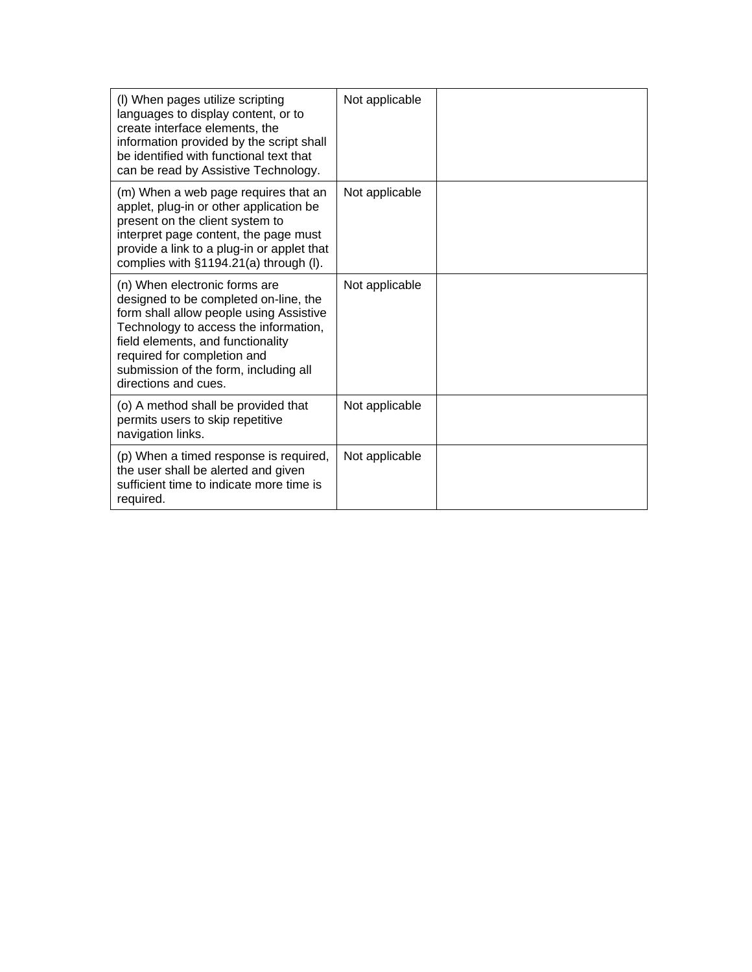| (I) When pages utilize scripting<br>languages to display content, or to<br>create interface elements, the<br>information provided by the script shall<br>be identified with functional text that<br>can be read by Assistive Technology.                                                        | Not applicable |  |
|-------------------------------------------------------------------------------------------------------------------------------------------------------------------------------------------------------------------------------------------------------------------------------------------------|----------------|--|
| (m) When a web page requires that an<br>applet, plug-in or other application be<br>present on the client system to<br>interpret page content, the page must<br>provide a link to a plug-in or applet that<br>complies with §1194.21(a) through (I).                                             | Not applicable |  |
| (n) When electronic forms are<br>designed to be completed on-line, the<br>form shall allow people using Assistive<br>Technology to access the information,<br>field elements, and functionality<br>required for completion and<br>submission of the form, including all<br>directions and cues. | Not applicable |  |
| (o) A method shall be provided that<br>permits users to skip repetitive<br>navigation links.                                                                                                                                                                                                    | Not applicable |  |
| (p) When a timed response is required,<br>the user shall be alerted and given<br>sufficient time to indicate more time is<br>required.                                                                                                                                                          | Not applicable |  |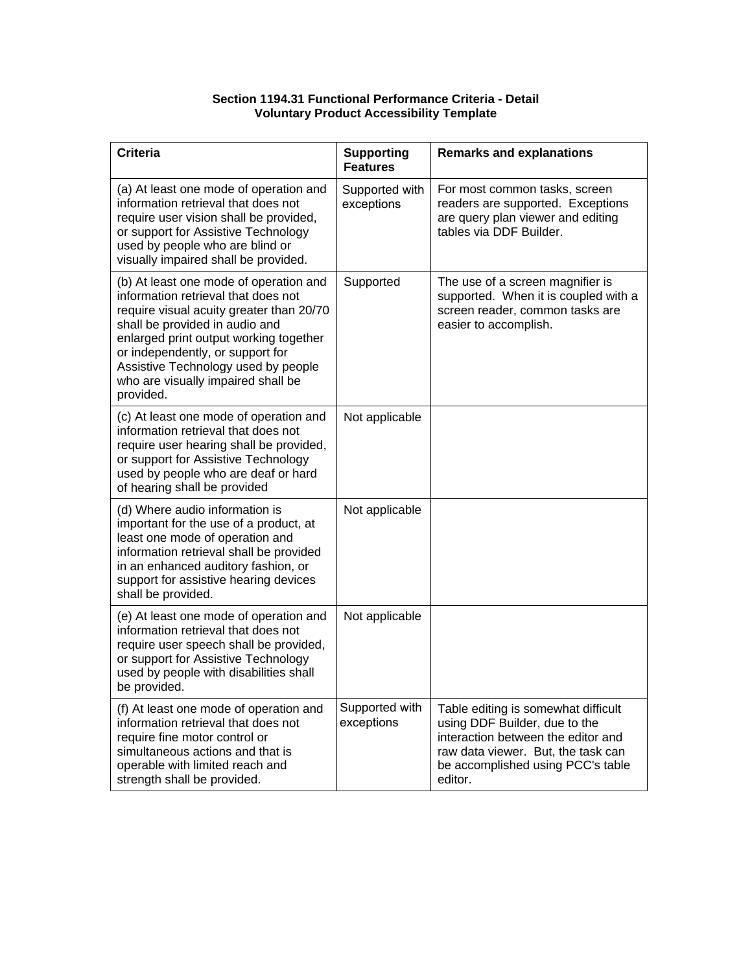### **Section 1194.31 Functional Performance Criteria - Detail Voluntary Product Accessibility Template**

| <b>Criteria</b>                                                                                                                                                                                                                                                                                                                     | <b>Supporting</b><br><b>Features</b> | <b>Remarks and explanations</b>                                                                                                                                                                  |
|-------------------------------------------------------------------------------------------------------------------------------------------------------------------------------------------------------------------------------------------------------------------------------------------------------------------------------------|--------------------------------------|--------------------------------------------------------------------------------------------------------------------------------------------------------------------------------------------------|
| (a) At least one mode of operation and<br>information retrieval that does not<br>require user vision shall be provided,<br>or support for Assistive Technology<br>used by people who are blind or<br>visually impaired shall be provided.                                                                                           | Supported with<br>exceptions         | For most common tasks, screen<br>readers are supported. Exceptions<br>are query plan viewer and editing<br>tables via DDF Builder.                                                               |
| (b) At least one mode of operation and<br>information retrieval that does not<br>require visual acuity greater than 20/70<br>shall be provided in audio and<br>enlarged print output working together<br>or independently, or support for<br>Assistive Technology used by people<br>who are visually impaired shall be<br>provided. | Supported                            | The use of a screen magnifier is<br>supported. When it is coupled with a<br>screen reader, common tasks are<br>easier to accomplish.                                                             |
| (c) At least one mode of operation and<br>information retrieval that does not<br>require user hearing shall be provided,<br>or support for Assistive Technology<br>used by people who are deaf or hard<br>of hearing shall be provided                                                                                              | Not applicable                       |                                                                                                                                                                                                  |
| (d) Where audio information is<br>important for the use of a product, at<br>least one mode of operation and<br>information retrieval shall be provided<br>in an enhanced auditory fashion, or<br>support for assistive hearing devices<br>shall be provided.                                                                        | Not applicable                       |                                                                                                                                                                                                  |
| (e) At least one mode of operation and<br>information retrieval that does not<br>require user speech shall be provided,<br>or support for Assistive Technology<br>used by people with disabilities shall<br>be provided.                                                                                                            | Not applicable                       |                                                                                                                                                                                                  |
| (f) At least one mode of operation and<br>information retrieval that does not<br>require fine motor control or<br>simultaneous actions and that is<br>operable with limited reach and<br>strength shall be provided.                                                                                                                | Supported with<br>exceptions         | Table editing is somewhat difficult<br>using DDF Builder, due to the<br>interaction between the editor and<br>raw data viewer. But, the task can<br>be accomplished using PCC's table<br>editor. |